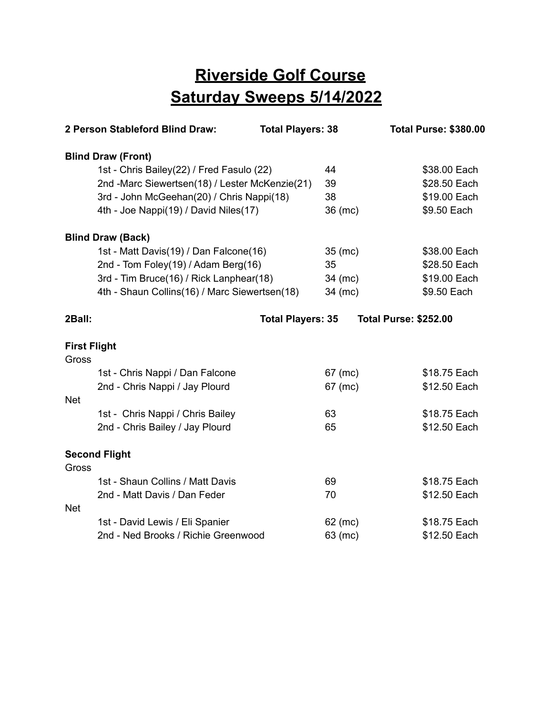## **Riverside Golf Course Saturday Sweeps 5/14/2022**

| 2 Person Stableford Blind Draw: |                                                | <b>Total Players: 38</b> |           | <b>Total Purse: \$380.00</b> |
|---------------------------------|------------------------------------------------|--------------------------|-----------|------------------------------|
|                                 | <b>Blind Draw (Front)</b>                      |                          |           |                              |
|                                 | 1st - Chris Bailey(22) / Fred Fasulo (22)      |                          | 44        | \$38.00 Each                 |
|                                 | 2nd -Marc Siewertsen(18) / Lester McKenzie(21) |                          | 39        | \$28.50 Each                 |
|                                 | 3rd - John McGeehan(20) / Chris Nappi(18)      |                          | 38        | \$19.00 Each                 |
|                                 | 4th - Joe Nappi(19) / David Niles(17)          |                          | 36 (mc)   | \$9.50 Each                  |
|                                 | <b>Blind Draw (Back)</b>                       |                          |           |                              |
|                                 | 1st - Matt Davis(19) / Dan Falcone(16)         |                          | $35$ (mc) | \$38.00 Each                 |
|                                 | 2nd - Tom Foley(19) / Adam Berg(16)            |                          | 35        | \$28.50 Each                 |
|                                 | 3rd - Tim Bruce(16) / Rick Lanphear(18)        |                          | 34 (mc)   | \$19.00 Each                 |
|                                 | 4th - Shaun Collins(16) / Marc Siewertsen(18)  |                          | 34 (mc)   | \$9.50 Each                  |
| 2Ball:                          |                                                | <b>Total Players: 35</b> |           | <b>Total Purse: \$252.00</b> |
| <b>First Flight</b>             |                                                |                          |           |                              |
| Gross                           | 1st - Chris Nappi / Dan Falcone                |                          | 67 (mc)   | \$18.75 Each                 |
|                                 | 2nd - Chris Nappi / Jay Plourd                 |                          | 67 (mc)   | \$12.50 Each                 |
| <b>Net</b>                      |                                                |                          |           |                              |
|                                 | 1st - Chris Nappi / Chris Bailey               |                          | 63        | \$18.75 Each                 |
|                                 | 2nd - Chris Bailey / Jay Plourd                |                          | 65        | \$12.50 Each                 |
|                                 |                                                |                          |           |                              |
| Gross                           | <b>Second Flight</b>                           |                          |           |                              |
|                                 | 1st - Shaun Collins / Matt Davis               |                          | 69        | \$18.75 Each                 |
|                                 | 2nd - Matt Davis / Dan Feder                   |                          | 70        | \$12.50 Each                 |
| <b>Net</b>                      |                                                |                          |           |                              |
|                                 | 1st - David Lewis / Eli Spanier                |                          | 62 (mc)   | \$18.75 Each                 |
|                                 | 2nd - Ned Brooks / Richie Greenwood            |                          | 63 (mc)   | \$12.50 Each                 |